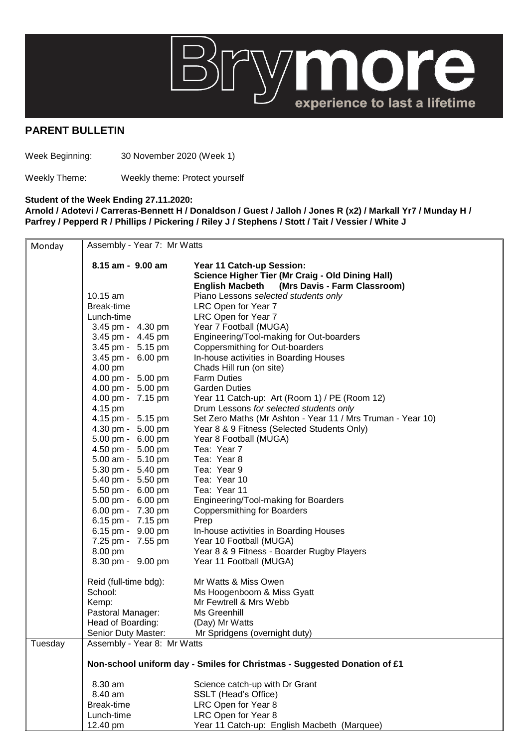

## **PARENT BULLETIN**

Week Beginning: 30 November 2020 (Week 1)

Weekly Theme: Weekly theme: Protect yourself

## **Student of the Week Ending 27.11.2020:**

**Arnold / Adotevi / Carreras-Bennett H / Donaldson / Guest / Jalloh / Jones R (x2) / Markall Yr7 / Munday H / Parfrey / Pepperd R / Phillips / Pickering / Riley J / Stephens / Stott / Tait / Vessier / White J** 

| Monday  | Assembly - Year 7: Mr Watts                                              |                                                             |  |
|---------|--------------------------------------------------------------------------|-------------------------------------------------------------|--|
|         | 8.15 am - 9.00 am                                                        | Year 11 Catch-up Session:                                   |  |
|         |                                                                          | Science Higher Tier (Mr Craig - Old Dining Hall)            |  |
|         |                                                                          | English Macbeth (Mrs Davis - Farm Classroom)                |  |
|         | 10.15 am                                                                 | Piano Lessons selected students only                        |  |
|         | Break-time                                                               | LRC Open for Year 7                                         |  |
|         | Lunch-time                                                               | LRC Open for Year 7                                         |  |
|         | 3.45 pm - 4.30 pm                                                        | Year 7 Football (MUGA)                                      |  |
|         | 3.45 pm - 4.45 pm                                                        | Engineering/Tool-making for Out-boarders                    |  |
|         | 3.45 pm - 5.15 pm                                                        | Coppersmithing for Out-boarders                             |  |
|         | 3.45 pm - 6.00 pm                                                        | In-house activities in Boarding Houses                      |  |
|         | 4.00 pm                                                                  | Chads Hill run (on site)                                    |  |
|         | 4.00 pm - 5.00 pm                                                        | <b>Farm Duties</b>                                          |  |
|         | 4.00 pm - 5.00 pm                                                        | <b>Garden Duties</b>                                        |  |
|         | 4.00 pm - 7.15 pm                                                        | Year 11 Catch-up: Art (Room 1) / PE (Room 12)               |  |
|         | 4.15 pm                                                                  | Drum Lessons for selected students only                     |  |
|         | 4.15 pm - 5.15 pm                                                        | Set Zero Maths (Mr Ashton - Year 11 / Mrs Truman - Year 10) |  |
|         | 4.30 pm - 5.00 pm                                                        | Year 8 & 9 Fitness (Selected Students Only)                 |  |
|         | 5.00 pm - 6.00 pm                                                        | Year 8 Football (MUGA)                                      |  |
|         | 4.50 pm - 5.00 pm                                                        | Tea: Year 7                                                 |  |
|         | 5.00 am - 5.10 pm                                                        | Tea: Year 8                                                 |  |
|         | 5.30 pm - 5.40 pm                                                        | Tea: Year 9                                                 |  |
|         | 5.40 pm - 5.50 pm                                                        | Tea: Year 10                                                |  |
|         | 5.50 pm - 6.00 pm                                                        | Tea: Year 11                                                |  |
|         | 5.00 pm - 6.00 pm<br>6.00 pm - 7.30 pm                                   | Engineering/Tool-making for Boarders                        |  |
|         | 6.15 pm - 7.15 pm                                                        | <b>Coppersmithing for Boarders</b><br>Prep                  |  |
|         | 6.15 pm - 9.00 pm                                                        | In-house activities in Boarding Houses                      |  |
|         | 7.25 pm - 7.55 pm                                                        | Year 10 Football (MUGA)                                     |  |
|         | 8.00 pm                                                                  | Year 8 & 9 Fitness - Boarder Rugby Players                  |  |
|         | 8.30 pm - 9.00 pm                                                        | Year 11 Football (MUGA)                                     |  |
|         |                                                                          |                                                             |  |
|         | Reid (full-time bdg):                                                    | Mr Watts & Miss Owen                                        |  |
|         | School:                                                                  | Ms Hoogenboom & Miss Gyatt                                  |  |
|         | Kemp:                                                                    | Mr Fewtrell & Mrs Webb                                      |  |
|         | Pastoral Manager:                                                        | Ms Greenhill                                                |  |
|         | Head of Boarding:                                                        | (Day) Mr Watts                                              |  |
|         | Senior Duty Master:                                                      | Mr Spridgens (overnight duty)                               |  |
| Tuesday | Assembly - Year 8: Mr Watts                                              |                                                             |  |
|         | Non-school uniform day - Smiles for Christmas - Suggested Donation of £1 |                                                             |  |
|         | 8.30 am                                                                  | Science catch-up with Dr Grant                              |  |
|         | 8.40 am                                                                  | SSLT (Head's Office)                                        |  |
|         | Break-time                                                               | LRC Open for Year 8                                         |  |
|         | Lunch-time                                                               | LRC Open for Year 8                                         |  |
|         | 12.40 pm                                                                 | Year 11 Catch-up: English Macbeth (Marquee)                 |  |
|         |                                                                          |                                                             |  |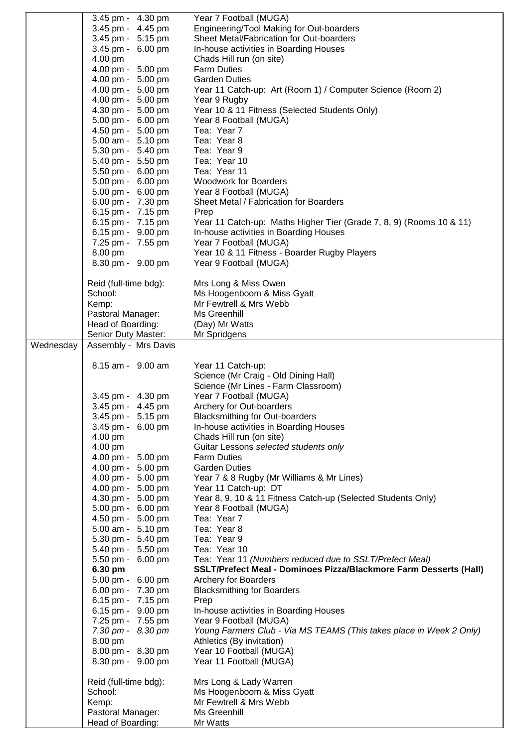| Engineering/Tool Making for Out-boarders<br>3.45 pm - 4.45 pm<br>Sheet Metal/Fabrication for Out-boarders<br>3.45 pm - 5.15 pm<br>3.45 pm - 6.00 pm<br>In-house activities in Boarding Houses<br>4.00 pm<br>Chads Hill run (on site)<br>4.00 pm - 5.00 pm<br><b>Farm Duties</b><br>4.00 pm - 5.00 pm<br><b>Garden Duties</b><br>4.00 pm - 5.00 pm<br>Year 11 Catch-up: Art (Room 1) / Computer Science (Room 2)<br>4.00 pm - 5.00 pm<br>Year 9 Rugby<br>4.30 pm - 5.00 pm<br>Year 10 & 11 Fitness (Selected Students Only)<br>5.00 pm - 6.00 pm<br>Year 8 Football (MUGA)<br>4.50 pm - 5.00 pm<br>Tea: Year 7<br>5.00 am - 5.10 pm<br>Tea: Year 8<br>5.30 pm - 5.40 pm<br>Tea: Year 9<br>5.40 pm - 5.50 pm<br>Tea: Year 10<br>5.50 pm - 6.00 pm<br>Tea: Year 11<br>5.00 pm - 6.00 pm<br><b>Woodwork for Boarders</b><br>5.00 pm - 6.00 pm<br>Year 8 Football (MUGA)<br>6.00 pm - 7.30 pm<br>Sheet Metal / Fabrication for Boarders<br>6.15 pm - 7.15 pm<br>Prep<br>6.15 pm - 7.15 pm<br>Year 11 Catch-up: Maths Higher Tier (Grade 7, 8, 9) (Rooms 10 & 11)<br>6.15 pm - 9.00 pm<br>In-house activities in Boarding Houses<br>7.25 pm - 7.55 pm<br>Year 7 Football (MUGA)<br>8.00 pm<br>Year 10 & 11 Fitness - Boarder Rugby Players<br>8.30 pm - 9.00 pm<br>Year 9 Football (MUGA)<br>Mrs Long & Miss Owen<br>Reid (full-time bdg):<br>Ms Hoogenboom & Miss Gyatt<br>School:<br>Mr Fewtrell & Mrs Webb<br>Kemp:<br>Pastoral Manager:<br>Ms Greenhill<br>Head of Boarding:<br>(Day) Mr Watts<br>Senior Duty Master:<br>Mr Spridgens<br>Assembly - Mrs Davis<br>Wednesday<br>8.15 am - 9.00 am<br>Year 11 Catch-up:<br>Science (Mr Craig - Old Dining Hall)<br>Science (Mr Lines - Farm Classroom)<br>Year 7 Football (MUGA)<br>3.45 pm - 4.30 pm<br>3.45 pm - 4.45 pm<br>Archery for Out-boarders<br>3.45 pm - 5.15 pm<br><b>Blacksmithing for Out-boarders</b><br>3.45 pm - 6.00 pm<br>In-house activities in Boarding Houses<br>Chads Hill run (on site)<br>4.00 pm<br>Guitar Lessons selected students only<br>4.00 pm<br>4.00 pm - 5.00 pm<br><b>Farm Duties</b><br>4.00 pm - 5.00 pm<br><b>Garden Duties</b><br>4.00 pm - 5.00 pm<br>Year 7 & 8 Rugby (Mr Williams & Mr Lines)<br>4.00 pm - 5.00 pm<br>Year 11 Catch-up: DT<br>4.30 pm - 5.00 pm<br>Year 8, 9, 10 & 11 Fitness Catch-up (Selected Students Only)<br>5.00 pm - 6.00 pm<br>Year 8 Football (MUGA)<br>4.50 pm - 5.00 pm<br>Tea: Year 7<br>5.00 am - 5.10 pm<br>Tea: Year 8<br>5.30 pm - 5.40 pm<br>Tea: Year 9<br>5.40 pm - 5.50 pm<br>Tea: Year 10 | 3.45 pm - 4.30 pm | Year 7 Football (MUGA)                                              |
|-----------------------------------------------------------------------------------------------------------------------------------------------------------------------------------------------------------------------------------------------------------------------------------------------------------------------------------------------------------------------------------------------------------------------------------------------------------------------------------------------------------------------------------------------------------------------------------------------------------------------------------------------------------------------------------------------------------------------------------------------------------------------------------------------------------------------------------------------------------------------------------------------------------------------------------------------------------------------------------------------------------------------------------------------------------------------------------------------------------------------------------------------------------------------------------------------------------------------------------------------------------------------------------------------------------------------------------------------------------------------------------------------------------------------------------------------------------------------------------------------------------------------------------------------------------------------------------------------------------------------------------------------------------------------------------------------------------------------------------------------------------------------------------------------------------------------------------------------------------------------------------------------------------------------------------------------------------------------------------------------------------------------------------------------------------------------------------------------------------------------------------------------------------------------------------------------------------------------------------------------------------------------------------------------------------------------------------------------------------------------------------------------------------------------------------------------------------------------------------------------------------------------|-------------------|---------------------------------------------------------------------|
|                                                                                                                                                                                                                                                                                                                                                                                                                                                                                                                                                                                                                                                                                                                                                                                                                                                                                                                                                                                                                                                                                                                                                                                                                                                                                                                                                                                                                                                                                                                                                                                                                                                                                                                                                                                                                                                                                                                                                                                                                                                                                                                                                                                                                                                                                                                                                                                                                                                                                                                       |                   |                                                                     |
|                                                                                                                                                                                                                                                                                                                                                                                                                                                                                                                                                                                                                                                                                                                                                                                                                                                                                                                                                                                                                                                                                                                                                                                                                                                                                                                                                                                                                                                                                                                                                                                                                                                                                                                                                                                                                                                                                                                                                                                                                                                                                                                                                                                                                                                                                                                                                                                                                                                                                                                       |                   |                                                                     |
|                                                                                                                                                                                                                                                                                                                                                                                                                                                                                                                                                                                                                                                                                                                                                                                                                                                                                                                                                                                                                                                                                                                                                                                                                                                                                                                                                                                                                                                                                                                                                                                                                                                                                                                                                                                                                                                                                                                                                                                                                                                                                                                                                                                                                                                                                                                                                                                                                                                                                                                       |                   |                                                                     |
|                                                                                                                                                                                                                                                                                                                                                                                                                                                                                                                                                                                                                                                                                                                                                                                                                                                                                                                                                                                                                                                                                                                                                                                                                                                                                                                                                                                                                                                                                                                                                                                                                                                                                                                                                                                                                                                                                                                                                                                                                                                                                                                                                                                                                                                                                                                                                                                                                                                                                                                       |                   |                                                                     |
|                                                                                                                                                                                                                                                                                                                                                                                                                                                                                                                                                                                                                                                                                                                                                                                                                                                                                                                                                                                                                                                                                                                                                                                                                                                                                                                                                                                                                                                                                                                                                                                                                                                                                                                                                                                                                                                                                                                                                                                                                                                                                                                                                                                                                                                                                                                                                                                                                                                                                                                       |                   |                                                                     |
|                                                                                                                                                                                                                                                                                                                                                                                                                                                                                                                                                                                                                                                                                                                                                                                                                                                                                                                                                                                                                                                                                                                                                                                                                                                                                                                                                                                                                                                                                                                                                                                                                                                                                                                                                                                                                                                                                                                                                                                                                                                                                                                                                                                                                                                                                                                                                                                                                                                                                                                       |                   |                                                                     |
|                                                                                                                                                                                                                                                                                                                                                                                                                                                                                                                                                                                                                                                                                                                                                                                                                                                                                                                                                                                                                                                                                                                                                                                                                                                                                                                                                                                                                                                                                                                                                                                                                                                                                                                                                                                                                                                                                                                                                                                                                                                                                                                                                                                                                                                                                                                                                                                                                                                                                                                       |                   |                                                                     |
|                                                                                                                                                                                                                                                                                                                                                                                                                                                                                                                                                                                                                                                                                                                                                                                                                                                                                                                                                                                                                                                                                                                                                                                                                                                                                                                                                                                                                                                                                                                                                                                                                                                                                                                                                                                                                                                                                                                                                                                                                                                                                                                                                                                                                                                                                                                                                                                                                                                                                                                       |                   |                                                                     |
|                                                                                                                                                                                                                                                                                                                                                                                                                                                                                                                                                                                                                                                                                                                                                                                                                                                                                                                                                                                                                                                                                                                                                                                                                                                                                                                                                                                                                                                                                                                                                                                                                                                                                                                                                                                                                                                                                                                                                                                                                                                                                                                                                                                                                                                                                                                                                                                                                                                                                                                       |                   |                                                                     |
|                                                                                                                                                                                                                                                                                                                                                                                                                                                                                                                                                                                                                                                                                                                                                                                                                                                                                                                                                                                                                                                                                                                                                                                                                                                                                                                                                                                                                                                                                                                                                                                                                                                                                                                                                                                                                                                                                                                                                                                                                                                                                                                                                                                                                                                                                                                                                                                                                                                                                                                       |                   |                                                                     |
|                                                                                                                                                                                                                                                                                                                                                                                                                                                                                                                                                                                                                                                                                                                                                                                                                                                                                                                                                                                                                                                                                                                                                                                                                                                                                                                                                                                                                                                                                                                                                                                                                                                                                                                                                                                                                                                                                                                                                                                                                                                                                                                                                                                                                                                                                                                                                                                                                                                                                                                       |                   |                                                                     |
|                                                                                                                                                                                                                                                                                                                                                                                                                                                                                                                                                                                                                                                                                                                                                                                                                                                                                                                                                                                                                                                                                                                                                                                                                                                                                                                                                                                                                                                                                                                                                                                                                                                                                                                                                                                                                                                                                                                                                                                                                                                                                                                                                                                                                                                                                                                                                                                                                                                                                                                       |                   |                                                                     |
|                                                                                                                                                                                                                                                                                                                                                                                                                                                                                                                                                                                                                                                                                                                                                                                                                                                                                                                                                                                                                                                                                                                                                                                                                                                                                                                                                                                                                                                                                                                                                                                                                                                                                                                                                                                                                                                                                                                                                                                                                                                                                                                                                                                                                                                                                                                                                                                                                                                                                                                       |                   |                                                                     |
|                                                                                                                                                                                                                                                                                                                                                                                                                                                                                                                                                                                                                                                                                                                                                                                                                                                                                                                                                                                                                                                                                                                                                                                                                                                                                                                                                                                                                                                                                                                                                                                                                                                                                                                                                                                                                                                                                                                                                                                                                                                                                                                                                                                                                                                                                                                                                                                                                                                                                                                       |                   |                                                                     |
|                                                                                                                                                                                                                                                                                                                                                                                                                                                                                                                                                                                                                                                                                                                                                                                                                                                                                                                                                                                                                                                                                                                                                                                                                                                                                                                                                                                                                                                                                                                                                                                                                                                                                                                                                                                                                                                                                                                                                                                                                                                                                                                                                                                                                                                                                                                                                                                                                                                                                                                       |                   |                                                                     |
|                                                                                                                                                                                                                                                                                                                                                                                                                                                                                                                                                                                                                                                                                                                                                                                                                                                                                                                                                                                                                                                                                                                                                                                                                                                                                                                                                                                                                                                                                                                                                                                                                                                                                                                                                                                                                                                                                                                                                                                                                                                                                                                                                                                                                                                                                                                                                                                                                                                                                                                       |                   |                                                                     |
|                                                                                                                                                                                                                                                                                                                                                                                                                                                                                                                                                                                                                                                                                                                                                                                                                                                                                                                                                                                                                                                                                                                                                                                                                                                                                                                                                                                                                                                                                                                                                                                                                                                                                                                                                                                                                                                                                                                                                                                                                                                                                                                                                                                                                                                                                                                                                                                                                                                                                                                       |                   |                                                                     |
|                                                                                                                                                                                                                                                                                                                                                                                                                                                                                                                                                                                                                                                                                                                                                                                                                                                                                                                                                                                                                                                                                                                                                                                                                                                                                                                                                                                                                                                                                                                                                                                                                                                                                                                                                                                                                                                                                                                                                                                                                                                                                                                                                                                                                                                                                                                                                                                                                                                                                                                       |                   |                                                                     |
|                                                                                                                                                                                                                                                                                                                                                                                                                                                                                                                                                                                                                                                                                                                                                                                                                                                                                                                                                                                                                                                                                                                                                                                                                                                                                                                                                                                                                                                                                                                                                                                                                                                                                                                                                                                                                                                                                                                                                                                                                                                                                                                                                                                                                                                                                                                                                                                                                                                                                                                       |                   |                                                                     |
|                                                                                                                                                                                                                                                                                                                                                                                                                                                                                                                                                                                                                                                                                                                                                                                                                                                                                                                                                                                                                                                                                                                                                                                                                                                                                                                                                                                                                                                                                                                                                                                                                                                                                                                                                                                                                                                                                                                                                                                                                                                                                                                                                                                                                                                                                                                                                                                                                                                                                                                       |                   |                                                                     |
|                                                                                                                                                                                                                                                                                                                                                                                                                                                                                                                                                                                                                                                                                                                                                                                                                                                                                                                                                                                                                                                                                                                                                                                                                                                                                                                                                                                                                                                                                                                                                                                                                                                                                                                                                                                                                                                                                                                                                                                                                                                                                                                                                                                                                                                                                                                                                                                                                                                                                                                       |                   |                                                                     |
|                                                                                                                                                                                                                                                                                                                                                                                                                                                                                                                                                                                                                                                                                                                                                                                                                                                                                                                                                                                                                                                                                                                                                                                                                                                                                                                                                                                                                                                                                                                                                                                                                                                                                                                                                                                                                                                                                                                                                                                                                                                                                                                                                                                                                                                                                                                                                                                                                                                                                                                       |                   |                                                                     |
|                                                                                                                                                                                                                                                                                                                                                                                                                                                                                                                                                                                                                                                                                                                                                                                                                                                                                                                                                                                                                                                                                                                                                                                                                                                                                                                                                                                                                                                                                                                                                                                                                                                                                                                                                                                                                                                                                                                                                                                                                                                                                                                                                                                                                                                                                                                                                                                                                                                                                                                       |                   |                                                                     |
|                                                                                                                                                                                                                                                                                                                                                                                                                                                                                                                                                                                                                                                                                                                                                                                                                                                                                                                                                                                                                                                                                                                                                                                                                                                                                                                                                                                                                                                                                                                                                                                                                                                                                                                                                                                                                                                                                                                                                                                                                                                                                                                                                                                                                                                                                                                                                                                                                                                                                                                       |                   |                                                                     |
|                                                                                                                                                                                                                                                                                                                                                                                                                                                                                                                                                                                                                                                                                                                                                                                                                                                                                                                                                                                                                                                                                                                                                                                                                                                                                                                                                                                                                                                                                                                                                                                                                                                                                                                                                                                                                                                                                                                                                                                                                                                                                                                                                                                                                                                                                                                                                                                                                                                                                                                       |                   |                                                                     |
|                                                                                                                                                                                                                                                                                                                                                                                                                                                                                                                                                                                                                                                                                                                                                                                                                                                                                                                                                                                                                                                                                                                                                                                                                                                                                                                                                                                                                                                                                                                                                                                                                                                                                                                                                                                                                                                                                                                                                                                                                                                                                                                                                                                                                                                                                                                                                                                                                                                                                                                       |                   |                                                                     |
|                                                                                                                                                                                                                                                                                                                                                                                                                                                                                                                                                                                                                                                                                                                                                                                                                                                                                                                                                                                                                                                                                                                                                                                                                                                                                                                                                                                                                                                                                                                                                                                                                                                                                                                                                                                                                                                                                                                                                                                                                                                                                                                                                                                                                                                                                                                                                                                                                                                                                                                       |                   |                                                                     |
|                                                                                                                                                                                                                                                                                                                                                                                                                                                                                                                                                                                                                                                                                                                                                                                                                                                                                                                                                                                                                                                                                                                                                                                                                                                                                                                                                                                                                                                                                                                                                                                                                                                                                                                                                                                                                                                                                                                                                                                                                                                                                                                                                                                                                                                                                                                                                                                                                                                                                                                       |                   |                                                                     |
|                                                                                                                                                                                                                                                                                                                                                                                                                                                                                                                                                                                                                                                                                                                                                                                                                                                                                                                                                                                                                                                                                                                                                                                                                                                                                                                                                                                                                                                                                                                                                                                                                                                                                                                                                                                                                                                                                                                                                                                                                                                                                                                                                                                                                                                                                                                                                                                                                                                                                                                       |                   |                                                                     |
|                                                                                                                                                                                                                                                                                                                                                                                                                                                                                                                                                                                                                                                                                                                                                                                                                                                                                                                                                                                                                                                                                                                                                                                                                                                                                                                                                                                                                                                                                                                                                                                                                                                                                                                                                                                                                                                                                                                                                                                                                                                                                                                                                                                                                                                                                                                                                                                                                                                                                                                       |                   |                                                                     |
|                                                                                                                                                                                                                                                                                                                                                                                                                                                                                                                                                                                                                                                                                                                                                                                                                                                                                                                                                                                                                                                                                                                                                                                                                                                                                                                                                                                                                                                                                                                                                                                                                                                                                                                                                                                                                                                                                                                                                                                                                                                                                                                                                                                                                                                                                                                                                                                                                                                                                                                       |                   |                                                                     |
|                                                                                                                                                                                                                                                                                                                                                                                                                                                                                                                                                                                                                                                                                                                                                                                                                                                                                                                                                                                                                                                                                                                                                                                                                                                                                                                                                                                                                                                                                                                                                                                                                                                                                                                                                                                                                                                                                                                                                                                                                                                                                                                                                                                                                                                                                                                                                                                                                                                                                                                       |                   |                                                                     |
|                                                                                                                                                                                                                                                                                                                                                                                                                                                                                                                                                                                                                                                                                                                                                                                                                                                                                                                                                                                                                                                                                                                                                                                                                                                                                                                                                                                                                                                                                                                                                                                                                                                                                                                                                                                                                                                                                                                                                                                                                                                                                                                                                                                                                                                                                                                                                                                                                                                                                                                       |                   |                                                                     |
|                                                                                                                                                                                                                                                                                                                                                                                                                                                                                                                                                                                                                                                                                                                                                                                                                                                                                                                                                                                                                                                                                                                                                                                                                                                                                                                                                                                                                                                                                                                                                                                                                                                                                                                                                                                                                                                                                                                                                                                                                                                                                                                                                                                                                                                                                                                                                                                                                                                                                                                       |                   |                                                                     |
|                                                                                                                                                                                                                                                                                                                                                                                                                                                                                                                                                                                                                                                                                                                                                                                                                                                                                                                                                                                                                                                                                                                                                                                                                                                                                                                                                                                                                                                                                                                                                                                                                                                                                                                                                                                                                                                                                                                                                                                                                                                                                                                                                                                                                                                                                                                                                                                                                                                                                                                       |                   |                                                                     |
|                                                                                                                                                                                                                                                                                                                                                                                                                                                                                                                                                                                                                                                                                                                                                                                                                                                                                                                                                                                                                                                                                                                                                                                                                                                                                                                                                                                                                                                                                                                                                                                                                                                                                                                                                                                                                                                                                                                                                                                                                                                                                                                                                                                                                                                                                                                                                                                                                                                                                                                       |                   |                                                                     |
|                                                                                                                                                                                                                                                                                                                                                                                                                                                                                                                                                                                                                                                                                                                                                                                                                                                                                                                                                                                                                                                                                                                                                                                                                                                                                                                                                                                                                                                                                                                                                                                                                                                                                                                                                                                                                                                                                                                                                                                                                                                                                                                                                                                                                                                                                                                                                                                                                                                                                                                       |                   |                                                                     |
|                                                                                                                                                                                                                                                                                                                                                                                                                                                                                                                                                                                                                                                                                                                                                                                                                                                                                                                                                                                                                                                                                                                                                                                                                                                                                                                                                                                                                                                                                                                                                                                                                                                                                                                                                                                                                                                                                                                                                                                                                                                                                                                                                                                                                                                                                                                                                                                                                                                                                                                       |                   |                                                                     |
|                                                                                                                                                                                                                                                                                                                                                                                                                                                                                                                                                                                                                                                                                                                                                                                                                                                                                                                                                                                                                                                                                                                                                                                                                                                                                                                                                                                                                                                                                                                                                                                                                                                                                                                                                                                                                                                                                                                                                                                                                                                                                                                                                                                                                                                                                                                                                                                                                                                                                                                       |                   |                                                                     |
|                                                                                                                                                                                                                                                                                                                                                                                                                                                                                                                                                                                                                                                                                                                                                                                                                                                                                                                                                                                                                                                                                                                                                                                                                                                                                                                                                                                                                                                                                                                                                                                                                                                                                                                                                                                                                                                                                                                                                                                                                                                                                                                                                                                                                                                                                                                                                                                                                                                                                                                       |                   |                                                                     |
|                                                                                                                                                                                                                                                                                                                                                                                                                                                                                                                                                                                                                                                                                                                                                                                                                                                                                                                                                                                                                                                                                                                                                                                                                                                                                                                                                                                                                                                                                                                                                                                                                                                                                                                                                                                                                                                                                                                                                                                                                                                                                                                                                                                                                                                                                                                                                                                                                                                                                                                       |                   |                                                                     |
|                                                                                                                                                                                                                                                                                                                                                                                                                                                                                                                                                                                                                                                                                                                                                                                                                                                                                                                                                                                                                                                                                                                                                                                                                                                                                                                                                                                                                                                                                                                                                                                                                                                                                                                                                                                                                                                                                                                                                                                                                                                                                                                                                                                                                                                                                                                                                                                                                                                                                                                       |                   |                                                                     |
|                                                                                                                                                                                                                                                                                                                                                                                                                                                                                                                                                                                                                                                                                                                                                                                                                                                                                                                                                                                                                                                                                                                                                                                                                                                                                                                                                                                                                                                                                                                                                                                                                                                                                                                                                                                                                                                                                                                                                                                                                                                                                                                                                                                                                                                                                                                                                                                                                                                                                                                       |                   |                                                                     |
|                                                                                                                                                                                                                                                                                                                                                                                                                                                                                                                                                                                                                                                                                                                                                                                                                                                                                                                                                                                                                                                                                                                                                                                                                                                                                                                                                                                                                                                                                                                                                                                                                                                                                                                                                                                                                                                                                                                                                                                                                                                                                                                                                                                                                                                                                                                                                                                                                                                                                                                       |                   |                                                                     |
|                                                                                                                                                                                                                                                                                                                                                                                                                                                                                                                                                                                                                                                                                                                                                                                                                                                                                                                                                                                                                                                                                                                                                                                                                                                                                                                                                                                                                                                                                                                                                                                                                                                                                                                                                                                                                                                                                                                                                                                                                                                                                                                                                                                                                                                                                                                                                                                                                                                                                                                       |                   |                                                                     |
|                                                                                                                                                                                                                                                                                                                                                                                                                                                                                                                                                                                                                                                                                                                                                                                                                                                                                                                                                                                                                                                                                                                                                                                                                                                                                                                                                                                                                                                                                                                                                                                                                                                                                                                                                                                                                                                                                                                                                                                                                                                                                                                                                                                                                                                                                                                                                                                                                                                                                                                       |                   |                                                                     |
|                                                                                                                                                                                                                                                                                                                                                                                                                                                                                                                                                                                                                                                                                                                                                                                                                                                                                                                                                                                                                                                                                                                                                                                                                                                                                                                                                                                                                                                                                                                                                                                                                                                                                                                                                                                                                                                                                                                                                                                                                                                                                                                                                                                                                                                                                                                                                                                                                                                                                                                       |                   |                                                                     |
|                                                                                                                                                                                                                                                                                                                                                                                                                                                                                                                                                                                                                                                                                                                                                                                                                                                                                                                                                                                                                                                                                                                                                                                                                                                                                                                                                                                                                                                                                                                                                                                                                                                                                                                                                                                                                                                                                                                                                                                                                                                                                                                                                                                                                                                                                                                                                                                                                                                                                                                       |                   |                                                                     |
|                                                                                                                                                                                                                                                                                                                                                                                                                                                                                                                                                                                                                                                                                                                                                                                                                                                                                                                                                                                                                                                                                                                                                                                                                                                                                                                                                                                                                                                                                                                                                                                                                                                                                                                                                                                                                                                                                                                                                                                                                                                                                                                                                                                                                                                                                                                                                                                                                                                                                                                       |                   |                                                                     |
|                                                                                                                                                                                                                                                                                                                                                                                                                                                                                                                                                                                                                                                                                                                                                                                                                                                                                                                                                                                                                                                                                                                                                                                                                                                                                                                                                                                                                                                                                                                                                                                                                                                                                                                                                                                                                                                                                                                                                                                                                                                                                                                                                                                                                                                                                                                                                                                                                                                                                                                       |                   |                                                                     |
|                                                                                                                                                                                                                                                                                                                                                                                                                                                                                                                                                                                                                                                                                                                                                                                                                                                                                                                                                                                                                                                                                                                                                                                                                                                                                                                                                                                                                                                                                                                                                                                                                                                                                                                                                                                                                                                                                                                                                                                                                                                                                                                                                                                                                                                                                                                                                                                                                                                                                                                       |                   |                                                                     |
|                                                                                                                                                                                                                                                                                                                                                                                                                                                                                                                                                                                                                                                                                                                                                                                                                                                                                                                                                                                                                                                                                                                                                                                                                                                                                                                                                                                                                                                                                                                                                                                                                                                                                                                                                                                                                                                                                                                                                                                                                                                                                                                                                                                                                                                                                                                                                                                                                                                                                                                       |                   |                                                                     |
|                                                                                                                                                                                                                                                                                                                                                                                                                                                                                                                                                                                                                                                                                                                                                                                                                                                                                                                                                                                                                                                                                                                                                                                                                                                                                                                                                                                                                                                                                                                                                                                                                                                                                                                                                                                                                                                                                                                                                                                                                                                                                                                                                                                                                                                                                                                                                                                                                                                                                                                       |                   |                                                                     |
|                                                                                                                                                                                                                                                                                                                                                                                                                                                                                                                                                                                                                                                                                                                                                                                                                                                                                                                                                                                                                                                                                                                                                                                                                                                                                                                                                                                                                                                                                                                                                                                                                                                                                                                                                                                                                                                                                                                                                                                                                                                                                                                                                                                                                                                                                                                                                                                                                                                                                                                       | 5.50 pm - 6.00 pm | Tea: Year 11 (Numbers reduced due to SSLT/Prefect Meal)             |
| SSLT/Prefect Meal - Dominoes Pizza/Blackmore Farm Desserts (Hall)<br>6.30 pm                                                                                                                                                                                                                                                                                                                                                                                                                                                                                                                                                                                                                                                                                                                                                                                                                                                                                                                                                                                                                                                                                                                                                                                                                                                                                                                                                                                                                                                                                                                                                                                                                                                                                                                                                                                                                                                                                                                                                                                                                                                                                                                                                                                                                                                                                                                                                                                                                                          |                   |                                                                     |
| 5.00 pm - 6.00 pm<br><b>Archery for Boarders</b>                                                                                                                                                                                                                                                                                                                                                                                                                                                                                                                                                                                                                                                                                                                                                                                                                                                                                                                                                                                                                                                                                                                                                                                                                                                                                                                                                                                                                                                                                                                                                                                                                                                                                                                                                                                                                                                                                                                                                                                                                                                                                                                                                                                                                                                                                                                                                                                                                                                                      |                   |                                                                     |
| <b>Blacksmithing for Boarders</b><br>6.00 pm - 7.30 pm                                                                                                                                                                                                                                                                                                                                                                                                                                                                                                                                                                                                                                                                                                                                                                                                                                                                                                                                                                                                                                                                                                                                                                                                                                                                                                                                                                                                                                                                                                                                                                                                                                                                                                                                                                                                                                                                                                                                                                                                                                                                                                                                                                                                                                                                                                                                                                                                                                                                |                   |                                                                     |
| 6.15 pm - 7.15 pm<br>Prep                                                                                                                                                                                                                                                                                                                                                                                                                                                                                                                                                                                                                                                                                                                                                                                                                                                                                                                                                                                                                                                                                                                                                                                                                                                                                                                                                                                                                                                                                                                                                                                                                                                                                                                                                                                                                                                                                                                                                                                                                                                                                                                                                                                                                                                                                                                                                                                                                                                                                             |                   |                                                                     |
| 6.15 pm - 9.00 pm<br>In-house activities in Boarding Houses                                                                                                                                                                                                                                                                                                                                                                                                                                                                                                                                                                                                                                                                                                                                                                                                                                                                                                                                                                                                                                                                                                                                                                                                                                                                                                                                                                                                                                                                                                                                                                                                                                                                                                                                                                                                                                                                                                                                                                                                                                                                                                                                                                                                                                                                                                                                                                                                                                                           |                   |                                                                     |
|                                                                                                                                                                                                                                                                                                                                                                                                                                                                                                                                                                                                                                                                                                                                                                                                                                                                                                                                                                                                                                                                                                                                                                                                                                                                                                                                                                                                                                                                                                                                                                                                                                                                                                                                                                                                                                                                                                                                                                                                                                                                                                                                                                                                                                                                                                                                                                                                                                                                                                                       |                   |                                                                     |
|                                                                                                                                                                                                                                                                                                                                                                                                                                                                                                                                                                                                                                                                                                                                                                                                                                                                                                                                                                                                                                                                                                                                                                                                                                                                                                                                                                                                                                                                                                                                                                                                                                                                                                                                                                                                                                                                                                                                                                                                                                                                                                                                                                                                                                                                                                                                                                                                                                                                                                                       |                   |                                                                     |
|                                                                                                                                                                                                                                                                                                                                                                                                                                                                                                                                                                                                                                                                                                                                                                                                                                                                                                                                                                                                                                                                                                                                                                                                                                                                                                                                                                                                                                                                                                                                                                                                                                                                                                                                                                                                                                                                                                                                                                                                                                                                                                                                                                                                                                                                                                                                                                                                                                                                                                                       | 7.25 pm - 7.55 pm | Year 9 Football (MUGA)                                              |
|                                                                                                                                                                                                                                                                                                                                                                                                                                                                                                                                                                                                                                                                                                                                                                                                                                                                                                                                                                                                                                                                                                                                                                                                                                                                                                                                                                                                                                                                                                                                                                                                                                                                                                                                                                                                                                                                                                                                                                                                                                                                                                                                                                                                                                                                                                                                                                                                                                                                                                                       | 7.30 pm - 8.30 pm | Young Farmers Club - Via MS TEAMS (This takes place in Week 2 Only) |
|                                                                                                                                                                                                                                                                                                                                                                                                                                                                                                                                                                                                                                                                                                                                                                                                                                                                                                                                                                                                                                                                                                                                                                                                                                                                                                                                                                                                                                                                                                                                                                                                                                                                                                                                                                                                                                                                                                                                                                                                                                                                                                                                                                                                                                                                                                                                                                                                                                                                                                                       | 8.00 pm           | Athletics (By invitation)                                           |
|                                                                                                                                                                                                                                                                                                                                                                                                                                                                                                                                                                                                                                                                                                                                                                                                                                                                                                                                                                                                                                                                                                                                                                                                                                                                                                                                                                                                                                                                                                                                                                                                                                                                                                                                                                                                                                                                                                                                                                                                                                                                                                                                                                                                                                                                                                                                                                                                                                                                                                                       | 8.00 pm - 8.30 pm | Year 10 Football (MUGA)                                             |
| Mrs Long & Lady Warren<br>Reid (full-time bdg):                                                                                                                                                                                                                                                                                                                                                                                                                                                                                                                                                                                                                                                                                                                                                                                                                                                                                                                                                                                                                                                                                                                                                                                                                                                                                                                                                                                                                                                                                                                                                                                                                                                                                                                                                                                                                                                                                                                                                                                                                                                                                                                                                                                                                                                                                                                                                                                                                                                                       | 8.30 pm - 9.00 pm | Year 11 Football (MUGA)                                             |
| School:<br>Ms Hoogenboom & Miss Gyatt                                                                                                                                                                                                                                                                                                                                                                                                                                                                                                                                                                                                                                                                                                                                                                                                                                                                                                                                                                                                                                                                                                                                                                                                                                                                                                                                                                                                                                                                                                                                                                                                                                                                                                                                                                                                                                                                                                                                                                                                                                                                                                                                                                                                                                                                                                                                                                                                                                                                                 |                   |                                                                     |
| Mr Fewtrell & Mrs Webb<br>Kemp:                                                                                                                                                                                                                                                                                                                                                                                                                                                                                                                                                                                                                                                                                                                                                                                                                                                                                                                                                                                                                                                                                                                                                                                                                                                                                                                                                                                                                                                                                                                                                                                                                                                                                                                                                                                                                                                                                                                                                                                                                                                                                                                                                                                                                                                                                                                                                                                                                                                                                       |                   |                                                                     |
| Pastoral Manager:<br>Ms Greenhill                                                                                                                                                                                                                                                                                                                                                                                                                                                                                                                                                                                                                                                                                                                                                                                                                                                                                                                                                                                                                                                                                                                                                                                                                                                                                                                                                                                                                                                                                                                                                                                                                                                                                                                                                                                                                                                                                                                                                                                                                                                                                                                                                                                                                                                                                                                                                                                                                                                                                     |                   |                                                                     |
| Head of Boarding:<br>Mr Watts                                                                                                                                                                                                                                                                                                                                                                                                                                                                                                                                                                                                                                                                                                                                                                                                                                                                                                                                                                                                                                                                                                                                                                                                                                                                                                                                                                                                                                                                                                                                                                                                                                                                                                                                                                                                                                                                                                                                                                                                                                                                                                                                                                                                                                                                                                                                                                                                                                                                                         |                   |                                                                     |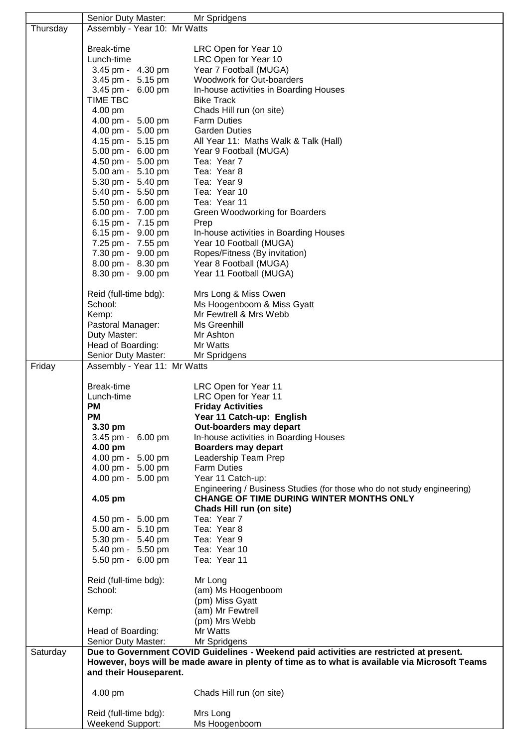|          | Senior Duty Master:                    | Mr Spridgens                                                                                   |  |
|----------|----------------------------------------|------------------------------------------------------------------------------------------------|--|
| Thursday | Assembly - Year 10: Mr Watts           |                                                                                                |  |
|          |                                        |                                                                                                |  |
|          | Break-time                             | LRC Open for Year 10                                                                           |  |
|          | Lunch-time                             | LRC Open for Year 10                                                                           |  |
|          | 3.45 pm - 4.30 pm                      | Year 7 Football (MUGA)                                                                         |  |
|          | 3.45 pm - 5.15 pm                      | Woodwork for Out-boarders                                                                      |  |
|          | 3.45 pm - 6.00 pm                      | In-house activities in Boarding Houses                                                         |  |
|          | <b>TIME TBC</b>                        | <b>Bike Track</b>                                                                              |  |
|          | 4.00 pm                                | Chads Hill run (on site)                                                                       |  |
|          | 4.00 pm - 5.00 pm                      | <b>Farm Duties</b>                                                                             |  |
|          | 4.00 pm - 5.00 pm                      | <b>Garden Duties</b>                                                                           |  |
|          | 4.15 pm - 5.15 pm                      | All Year 11: Maths Walk & Talk (Hall)                                                          |  |
|          | 5.00 pm - 6.00 pm<br>4.50 pm - 5.00 pm | Year 9 Football (MUGA)<br>Tea: Year 7                                                          |  |
|          | 5.00 am - 5.10 pm                      | Tea: Year 8                                                                                    |  |
|          | 5.30 pm - 5.40 pm                      | Tea: Year 9                                                                                    |  |
|          | 5.40 pm - 5.50 pm                      | Tea: Year 10                                                                                   |  |
|          | 5.50 pm - 6.00 pm                      | Tea: Year 11                                                                                   |  |
|          | 6.00 pm - 7.00 pm                      | Green Woodworking for Boarders                                                                 |  |
|          | 6.15 pm - 7.15 pm                      | Prep                                                                                           |  |
|          | 6.15 pm - 9.00 pm                      | In-house activities in Boarding Houses                                                         |  |
|          | 7.25 pm - 7.55 pm                      | Year 10 Football (MUGA)                                                                        |  |
|          | 7.30 pm - 9.00 pm                      | Ropes/Fitness (By invitation)                                                                  |  |
|          | 8.00 pm - 8.30 pm                      | Year 8 Football (MUGA)                                                                         |  |
|          | 8.30 pm - 9.00 pm                      | Year 11 Football (MUGA)                                                                        |  |
|          |                                        |                                                                                                |  |
|          | Reid (full-time bdg):                  | Mrs Long & Miss Owen                                                                           |  |
|          | School:                                | Ms Hoogenboom & Miss Gyatt<br>Mr Fewtrell & Mrs Webb                                           |  |
|          | Kemp:<br>Pastoral Manager:             | Ms Greenhill                                                                                   |  |
|          | Duty Master:                           | Mr Ashton                                                                                      |  |
|          | Head of Boarding:                      | Mr Watts                                                                                       |  |
|          | Senior Duty Master:                    | Mr Spridgens                                                                                   |  |
| Friday   | Assembly - Year 11: Mr Watts           |                                                                                                |  |
|          |                                        |                                                                                                |  |
|          | Break-time                             | LRC Open for Year 11                                                                           |  |
|          | Lunch-time                             | LRC Open for Year 11                                                                           |  |
|          | <b>PM</b>                              | <b>Friday Activities</b>                                                                       |  |
|          | <b>PM</b>                              | Year 11 Catch-up: English                                                                      |  |
|          | 3.30 pm                                | Out-boarders may depart                                                                        |  |
|          | 3.45 pm - 6.00 pm<br>4.00 pm           | In-house activities in Boarding Houses<br><b>Boarders may depart</b>                           |  |
|          | 4.00 pm - 5.00 pm                      | Leadership Team Prep                                                                           |  |
|          | 4.00 pm - 5.00 pm                      | <b>Farm Duties</b>                                                                             |  |
|          | 4.00 pm - 5.00 pm                      | Year 11 Catch-up:                                                                              |  |
|          |                                        | Engineering / Business Studies (for those who do not study engineering)                        |  |
|          | 4.05 pm                                | CHANGE OF TIME DURING WINTER MONTHS ONLY                                                       |  |
|          |                                        | Chads Hill run (on site)                                                                       |  |
|          | 4.50 pm - 5.00 pm                      | Tea: Year 7                                                                                    |  |
|          | 5.00 am - 5.10 pm                      | Tea: Year 8                                                                                    |  |
|          | 5.30 pm - 5.40 pm                      | Tea: Year 9                                                                                    |  |
|          | 5.40 pm - 5.50 pm                      | Tea: Year 10                                                                                   |  |
|          | 5.50 pm - 6.00 pm                      | Tea: Year 11                                                                                   |  |
|          | Reid (full-time bdg):                  | Mr Long                                                                                        |  |
|          | School:                                | (am) Ms Hoogenboom                                                                             |  |
|          |                                        | (pm) Miss Gyatt                                                                                |  |
|          | Kemp:                                  | (am) Mr Fewtrell                                                                               |  |
|          |                                        | (pm) Mrs Webb                                                                                  |  |
|          | Head of Boarding:                      | Mr Watts                                                                                       |  |
|          | Senior Duty Master:                    | Mr Spridgens                                                                                   |  |
| Saturday |                                        | Due to Government COVID Guidelines - Weekend paid activities are restricted at present.        |  |
|          |                                        | However, boys will be made aware in plenty of time as to what is available via Microsoft Teams |  |
|          | and their Houseparent.                 |                                                                                                |  |
|          |                                        |                                                                                                |  |
|          | 4.00 pm                                | Chads Hill run (on site)                                                                       |  |
|          | Reid (full-time bdg):                  | Mrs Long                                                                                       |  |
|          | Weekend Support:                       | Ms Hoogenboom                                                                                  |  |